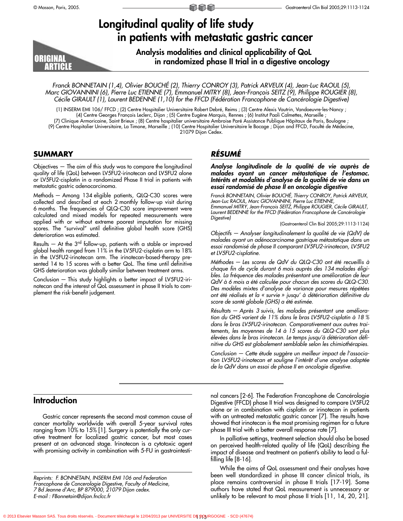# **Longitudinal quality of life study in patients with metastatic gastric cancer**



**Analysis modalities and clinical applicability of QoL in randomized phase II trial in a digestive oncology**

Franck BONNETAIN (1,4), Olivier BOUCHÉ (2), Thierry CONROY (3), Patrick ARVEUX (4), Jean-Luc RAOUL (5), Marc GIOVANNINI (6), Pierre Luc ETIENNE (7), Emmanuel MITRY (8), Jean-François SEITZ (9), Philippe ROUGIER (8), Cécile GIRAULT (1), Laurent BEDENNE (1,10) for the FFCD (Fédération Francophone de Cancérologie Digestive)

(1) INSERM EMI 106/ FFCD ; (2) Centre Hospitalier Universitaire Robert Debré, Reims ; (3) Centre Alexis Vautrin, Vandoeuvre-les-Nancy ; (4) Centre Georges François Leclerc, Dijon ; (5) Centre Eugène Marquis, Rennes ; (6) Institut Paoli Calmettes, Marseille ;

(7) Clinique Armoricaine, Saint Brieux ; (8) Centre hospitalier universitaire Ambroise Paré Assistance Publique Hôpitaux de Paris, Boulogne ; (9) Centre Hospitalier Universitaire, La Timone, Marseille ; (10) Centre Hospitalier Universitaire le Bocage ; Dijon and FFCD, Faculté de Médecine, 21079 Dijon Cedex.

# **SUMMARY**

Objectives — The aim of this study was to compare the longitudinal quality of life (QoL) between LV5FU2-irinotecan and LV5FU2 alone or LV5FU2-cisplatin in a randomized Phase II trial in patients with metastatic gastric adenocarcinoma.

Methods — Among 134 eligible patients, QLQ-C30 scores were collected and described at each 2 monthly follow-up visit during 6 months. The frequencies of QLQ-C30 score improvement were calculated and mixed models for repeated measurements were applied with or without extreme poorest imputation for missing scores. The "survival" until definitive global health score (GHS) deterioration was estimated.

Results  $-$  At the 3<sup>rd</sup> follow-up, patients with a stable or improved global health ranged from 11% in the LV5FU2-cisplatin arm to 18% in the LV5FU2-irinotecan arm. The irinotecan-based-therapy presented 14 to 15 scores with a better QoL. The time until definitive GHS deterioration was globally similar between treatment arms.

Conclusion — This study highlights a better impact of LV5FU2-irinotecan and the interest of QoL assessment in phase II trials to complement the risk-benefit judgement.

# *RÉSUMÉ*

Digestive)

*Analyse longitudinale de la qualité de vie auprès de malades ayant un cancer métastatique de l'estomac. Intérêts et modalités d'analyse de la qualité de vie dans un essai randomisé de phase II en oncologie digestive*

Franck BONNETAIN, Olivier BOUCHÉ, Thierry CONROY, Patrick ARVEUX, Jean-Luc RAOUL, Marc GIOVANNINI, Pierre Luc ETIENNE, Emmanuel MITRY, Jean-François SEITZ, Philippe ROUGIER, Cécile GIRAULT, Laurent BEDENNE for the FFCD (Fédération Francophone de Cancérologie

(Gastroenterol Clin Biol 2005;29:1113-1124)

Objectifs — Analyser longitudinalement la qualité de vie (QdV) de malades ayant un adénocarcinome gastrique métastatique dans un essai randomisé de phase II comparant LV5FU2-irinotecan, LV5FU2 et LV5FU2-cisplatine.

Méthodes — Les scores de QdV du QLQ-C30 ont été recueillis à chaque fin de cycle durant 6 mois auprès des 134 malades éligibles. La fréquence des malades présentant une amélioration de leur QdV à 6 mois a été calculée pour chacun des scores du QLQ-C30. Des modèles mixtes d'analyse de variance pour mesures répétées ont été réalisés et la « survie » jusqu' à détérioration définitive du score de santé globale (GHS) a été estimée.

Résultats — Après 3 suivis, les malades présentant une amélioration du GHS varient de 11% dans le bras LV5FU2-cisplatin à 18 % dans le bras LV5FU2-irinotecan. Comparativement aux autres traitements, les moyennes de 14 à 15 scores du QLQ-C30 sont plus élevées dans le bras irinotecan. Le temps jusqu'à détérioration définitive du GHS est globalement semblable selon les chimiothérapies.

Conclusion — Cette étude suggère un meilleur impact de l'association LV5FU2-irinotecan et souligne l'intérêt d'une analyse adaptée de la QdV dans un essai de phase II en oncologie digestive.

# **Introduction**

Gastric cancer represents the second most common cause of cancer mortality worldwide with overall 5-year survival rates ranging from 10% to 15% [1]. Surgery is potentially the only curative treatment for localized gastric cancer, but most cases present at an advanced stage. Irinotecan is a cytotoxic agent with promising activity in combination with 5-FU in gastrointesti-

nal cancers [2-6]. The Federation Francophone de Cancérologie Digestive (FFCD) phase II trial was designed to compare LV5FU2 alone or in combination with cisplatin or irinotecan in patients with an untreated metastatic gastric cancer [7]. The results have showed that irinotecan is the most promising regimen for a future phase III trial with a better overall response rate [7].

In palliative settings, treatment selection should also be based on perceived health-related quality of life (QoL) describing the impact of disease and treatment on patient's ability to lead a fulfilling life [8-16].

While the aims of QoL assessment and their analyses have been well standardized in phase III cancer clinical trials, its place remains controversial in phase II trials [17-19]. Some authors have stated that QoL measurement is unnecessary or unlikely to be relevant to most phase II trials [11, 14, 20, 21].

Reprints: F. BONNETAIN, INSERM EMI 106 and Federation Francophone de Cancerologie Digestive, Faculty of Medicine, 7 Bd Jeanne d'Arc, BP 879000, 21079 Dijon cedex. E-mail : FBonnetain@dijon.fnclcc.fr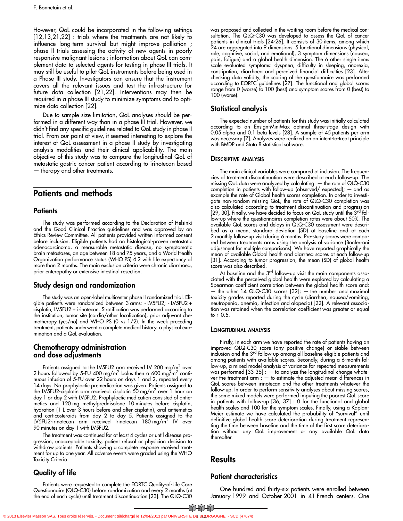However, QoL could be incorporated in the following settings [12,13,21,22] : trials where the treatments are not likely to influence long-term survival but might improve palliation ; phase II trials assessing the activity of new agents in poorly responsive malignant lesions ; information about QoL can complement data to selected agents for testing in phase III trials. It may still be useful to pilot QoL instruments before being used in a Phase III study. Investigators can ensure that the instrument covers all the relevant issues and test the infrastructure for future data collection [21,22]. Interventions may then be required in a phase III study to minimize symptoms and to optimize data collection [22].

Due to sample size limitation, QoL analyses should be performed in a different way than in a phase III trial. However, we didn't find any specific guidelines related to QoL study in phase II trial. From our point of view, it seemed interesting to explore the interest of QoL assessment in a phase II study by investigating analysis modalities and their clinical applicability. The main objective of this study was to compare the longitudinal QoL of metastatic gastric cancer patient according to irinotecan based — therapy and other treatments.

# **Patients and methods**

### **Patients**

The study was performed according to the Declaration of Helsinki and the Good Clinical Practice guidelines and was approved by an Ethics Review Committee. All patients provided written informed consent before inclusion. Eligible patients had an histological-proven metastatic adenocarcinoma, a measurable metastatic disease, no symptomatic brain metastases, an age between 18 and 75 years, and a World Health Organization performance status (WHO PS)  $\Omega$ 2 with life expectancy of more than 2 months. The main exclusion criteria were chronic diarrhoea, prior enteropathy or extensive intestinal resection.

### **Study design and randomization**

The study was an open-label multicenter phase II randomized trial. Eligible patients were randomized between 3 arms: - LV5FU2; - LV5FU2 + cisplatin; LV5FU2 + irinotecan. Stratification was performed according to the institution, tumor site (cardia/other localization), prior adjuvant chemotherapy (yes/no) and WHO PS (0 vs 1/2). In the week preceding treatment, patients underwent a complete medical history, a physical examination and a QoL evaluation.

# **Chemotherapy administration and dose adjustments**

Patients assigned to the LV5FU2 arm received LV 200 mg/ $m^2$  over 2 hours followed by 5-FU 400 mg/m<sup>2</sup> bolus then a 600 mg/m<sup>2</sup> continuous infusion of 5-FU over 22 hours on days 1 and 2, repeated every 14 days. No prophylactic premedication was given. Patients assigned to the LV5FU2-cisplatin arm received: cisplatin 50 mg/m<sup>2</sup> over 1 hour on day 1 or day 2 with LV5FU2. Prophylactic medication consisted of antiemetics and 120 mg methylprednisolone 10 minutes before cisplatin, hydration (1 L over 3 hours before and after cisplatin), oral antiemetics and corticosteroids from day 2 to day 5. Patients assigned to the LV5FU2-irinotecan arm received Irinotecan 180 mg/m<sup>2</sup> IV over 90 minutes on day 1 with LV5FU2.

The treatment was continued for at least 4 cycles or until disease progression, unacceptable toxicity, patient refusal or physician decision to withdraw patients. Patients showing a complete response received treatment for up to one year. All adverse events were graded using the WHO Toxicity Criteria

# **Quality of life**

Patients were requested to complete the EORTC Quality-of-Life Core Questionnaire (QLQ-C30) before randomization and every 2 months (at the end of each cycle) until treatment discontinuation [23]. The QLQ-C30 was proposed and collected in the waiting room before the medical consultation. The QLQ-C30 was developed to assess the QoL of cancer patients in clinical trials [24-26]. It consists of 30 items, among which 24 are aggregated into 9 dimensions: 5 functional dimensions (physical, role, cognitive, social, and emotional), 3 symptom dimensions (nausea, pain, fatigue) and a global health dimension. The 6 other single items scale evaluated symptoms: dyspnea, difficulty in sleeping, anorexia, constipation, diarrhoea and perceived financial difficulties [23]. After checking data validity, the scoring of the questionnaire was performed according to EORTC guidelines [27]. The functional and global scores range from 0 (worse) to 100 (best) and symptom scores from 0 (best) to 100 (worse).

# **Statistical analysis**

The expected number of patients for this study was initially calculated according to an Ensign-MiniMax optimal three-stage design with 0.05 alpha and 0.1 beta levels [28]. A sample of 45 patients per arm was necessary [7]. Analyzes were realized on an intent-to-treat principle with BMDP and Stata 8 statistical software.

### **DESCRIPTIVE ANALYSIS**

The main clinical variables were compared at inclusion. The frequencies of treatment discontinuation were described at each follow-up. The missing QoL data were analyzed by calculating: — the rate of QLQ-C30 completion in patients with follow-up (observed/ expected); — and as example the rate of Global health scores completion. In order to investigate non-random missing QoL, the rate of QLQ-C30 completion was also calculated according to treatment discontinuation and progression [29, 30]. Finally, we have decided to focus on QoL study until the 3<sup>rd</sup> follow-up where the questionnaires completion rates were about 50%. The available QoL scores and delays in QLQ-C30 assessment were described as a mean, standard deviation (SD) at baseline and at each 2 monthly follow-up visit during 6 months. Pre-study scores were compared between treatments arms using the analysis of variance (Bonferroni adjustment for multiple comparisons). We have reported graphically the mean of available Global health and diarrhea scores at each follow-up [31]. According to tumor progression, the mean (SD) of global health score was also described.

At baseline and the 3<sup>rd</sup> follow-up visit the main components associated with the perceived global health were explored by calculating a Spearman coefficient correlation between the global health score and: — the other 14 QLQ-C30 scores [32]; — the number and maximal toxicity grades reported during the cycle (diarrhea, nausea/vomiting, neutropenia, anemia, infection and alopecia) [22]. A relevant association was retained when the correlation coefficient was greater or equal to  $\partial$  0.5.

### **LONGITUDINAL ANALYSIS**

Firstly, in each arm we have reported the rate of patients having an improved QLQ-C30 score (any positive change) or stable between<br>inclusion and the 3<sup>rd</sup> follow-up among all baseline eligible patients and among patients with available scores. Secondly, during a 6-month follow-up, a mixed model analysis of variance for repeated measurements was performed [33-35] : — to analyze the longitudinal change whatever the treatment arm ;  $-$  to estimate the adjusted mean differences in QoL scores between irinotecan and the other treatments whatever the follow-up. In order to perform sensitivity analyses about missing scores, the same mixed models were performed imputing the poorest QoL score in patients with follow-up [36, 37] : 0 for the functional and global health scales and 100 for the symptom scales. Finally, using a Kaplan-Meier estimate we have calculated the probability of "survival" until definitive global health score deterioration during treatment representing the time between baseline and the time of the first score deterioration without any QoL improvement or any available QoL data thereafter.

# **Results**

# **Patient characteristics**

One hundred and thirty-six patients were enrolled between January 1999 and October 2001 in 41 French centers. One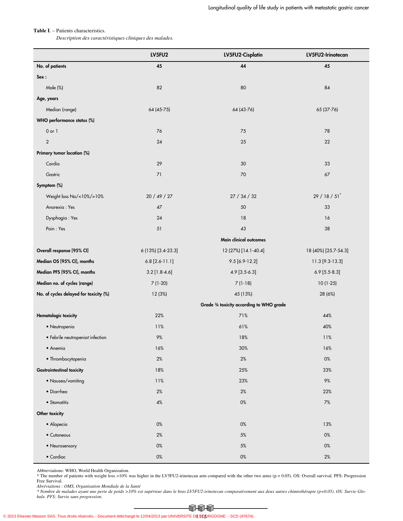#### **Table I**. – Patients characteristics.

*Description des caractéristiques cliniques des malades.*

|                                        | LV5FU2             | LV5FU2-Cisplatin                          | LV5FU2-Irinotecan       |
|----------------------------------------|--------------------|-------------------------------------------|-------------------------|
| No. of patients                        | 45                 | 44                                        | 45                      |
| Sex:                                   |                    |                                           |                         |
| Male (%)                               | 82                 | 80                                        | 84                      |
| Age, years                             |                    |                                           |                         |
| Median (range)                         | 64 (45-75)         | 64 (43-76)                                | 65 (37-76)              |
| WHO performance status (%)             |                    |                                           |                         |
| $0$ or $1$                             | 76                 | 75                                        | 78                      |
| $\mathbf{2}$                           | 24                 | 25                                        | 22                      |
| Primary tumor location (%)             |                    |                                           |                         |
| Cardia                                 | 29                 | 30                                        | 33                      |
| Gastric                                | 71                 | 70                                        | 67                      |
| Symptom (%)                            |                    |                                           |                         |
| Weight loss No/<10%/>10%               | 20 / 49 / 27       | 27 / 34 / 32                              | $29/18/51$ <sup>*</sup> |
| Anorexia: Yes                          | 47                 | 50                                        | 33                      |
| Dysphagia: Yes                         | 24                 | 18                                        | 16                      |
| Pain: Yes                              | 51                 | 43                                        | 38                      |
|                                        |                    | Main clinical outcomes                    |                         |
| Overall response [95% CI]              | 6 (13%) [3.4-23.3] | 12 (27%) [14.1-40.4]                      | 18 (40%) [25.7-54.3]    |
| Median OS [95% CI], months             | $6.8$ [2.6-11.1]   | $9.5[6.9-12.2]$                           | 11.3 [9.3-13.3]         |
| Median PFS [95% CI], months            | $3.2$ [1.8-4.6]    | 4.9 [3.5-6.3]                             | $6.9$ [5.5-8.3]         |
| Median no. of cycles (range)           | $7(1-20)$          | $7(1-18)$                                 | $10(1-25)$              |
| No. of cycles delayed for toxicity (%) | 12 (3%)            | 45 (13%)                                  | 28 (6%)                 |
|                                        |                    | Grade 3/4 toxicity according to WHO grade |                         |
| Hematologic toxicity                   | 22%                | 71%                                       | 44%                     |
| · Neutropenia                          | 11%                | 61%                                       | 40%                     |
| • Febrile neutropeniadinfection        | $9\%$              | 18%                                       | 11%                     |
| • Anemia                               | 16%                | 30%                                       | 16%                     |
| · Thrombocytopenia                     | $2\%$              | 2%                                        | 0%                      |
| <b>Gastrointestinal toxicity</b>       | 18%                | 25%                                       | 33%                     |
| • Nausea/vomiting                      | 11%                | 23%                                       | 9%                      |
| • Diarrhea                             | 2%                 | 2%                                        | 22%                     |
| • Stomatitis                           | $4\%$              | 0%                                        | 7%                      |
| Other toxicity                         |                    |                                           |                         |
| • Alopecia                             | 0%                 | 0%                                        | 13%                     |
| • Cutaneous                            | 2%                 | 5%                                        | 0%                      |
| • Neurosensory                         | 0%                 | 5%                                        | 0%                      |
| $\bullet$ Cardiac                      | 0%                 | 0%                                        | $2\%$                   |

Abbreviations: WHO, World Health Organization.<br>\* The number of patients with weight loss >10% was higher in the LV5FU2-irinotecan arm compared with the other two arms (p = 0.05). OS: Overall survival. PFS: Progression Free Survival.

*Abréviations : OMS, Organisation Mondiale de la Santé*

*\* Nombre de malades ayant une perte de poids >10% est supérieur dans le bras LV5FU2-irinotecan comparativement aux deux autres chimiothérapie (p=0.05). OS: Survie Globale. PFS: Survie sans progression.*

 $\Omega$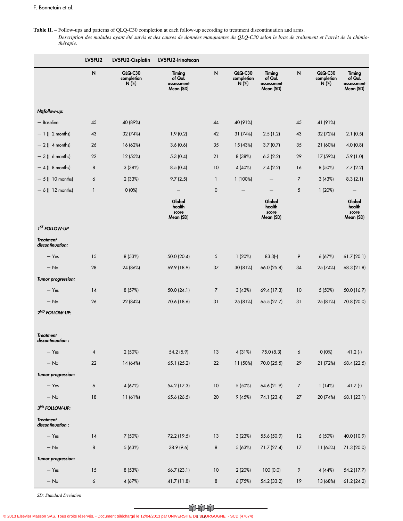**Table II**. – Follow-ups and patterns of QLQ-C30 completion at each follow-up according to treatment discontinuation and arms.

*Description des malades ayant été suivis et des causes de données manquantes du QLQ-C30 selon le bras de traitement et l'arrêt de la chimiothérapie.*

|                                      | LV5FU2       | LV5FU2-Cisplatin                        | LV5FU2-Irinotecan                           |              |                                       |                                             |                |                                  |                                             |
|--------------------------------------|--------------|-----------------------------------------|---------------------------------------------|--------------|---------------------------------------|---------------------------------------------|----------------|----------------------------------|---------------------------------------------|
|                                      | ${\sf N}$    | <b>QLQ-C30</b><br>completion<br>$N$ (%) | Timing<br>of QoL<br>assessment<br>Mean (SD) | $\mathsf{N}$ | <b>QLQ-C30</b><br>completion<br>N (%) | Timing<br>of QoL<br>assessment<br>Mean (SD) | N              | QLQ-C30<br>completion<br>$N$ (%) | Timing<br>of QoL<br>assessment<br>Mean (SD) |
| N, follow-up:                        |              |                                         |                                             |              |                                       |                                             |                |                                  |                                             |
| - Baseline                           | 45           | 40 (89%)                                |                                             | 44           | 40 (91%)                              |                                             | 45             | 41 (91%)                         |                                             |
| $-1$ (-2 months)                     | 43           | 32 (74%)                                | 1.9(0.2)                                    | 42           | 31 (74%)                              | 2.5(1.2)                                    | 43             | 32 (72%)                         | 2.1(0.5)                                    |
| $-2$ ( $-4$ months)                  | 26           | 16 (62%)                                | 3.6(0.6)                                    | 35           | 15 (43%)                              | 3.7(0.7)                                    | 35             | 21 (60%)                         | 4.0(0.8)                                    |
| $-3$ ( $-6$ months)                  | 22           | 12 (55%)                                | 5.3(0.4)                                    | 21           | 8 (38%)                               | 6.3(2.2)                                    | 29             | 17 (59%)                         | 5.9(1.0)                                    |
| $-4$ ( $-8$ months)                  | 8            | 3(38%)                                  | 8.5(0.4)                                    | 10           | 4 (40%)                               | 7.4(2.2)                                    | 16             | 8 (50%)                          | 7.7(2.2)                                    |
| $-5$ ( $-10$ months)                 | 6            | 2(33%)                                  | 9.7(2.5)                                    | $\mathbf{1}$ | 1(100%)                               |                                             | $\overline{7}$ | 3(43%)                           | 8.3(2.1)                                    |
| $-6$ ( $-12$ months)                 | $\mathbf{1}$ | 0(0%)                                   | $\qquad \qquad -$                           | $\mathbf 0$  |                                       | $\qquad \qquad -$                           | $\sqrt{5}$     | 1(20%)                           |                                             |
|                                      |              |                                         | Global<br>health<br>score<br>Mean (SD)      |              |                                       | Global<br>health<br>score<br>Mean (SD)      |                |                                  | Global<br>health<br>score<br>Mean (SD)      |
| 1 <sup>ST</sup> FOLLOW-UP            |              |                                         |                                             |              |                                       |                                             |                |                                  |                                             |
| <b>Treatment</b><br>discontinuation: |              |                                         |                                             |              |                                       |                                             |                |                                  |                                             |
| $-$ Yes                              | 15           | 8 (53%)                                 | 50.0 (20.4)                                 | 5            | 1(20%)                                | $83.3(-)$                                   | 9              | 6(67%)                           | 61.7(20.1)                                  |
| $-$ No                               | 28           | 24 (86%)                                | 69.9 (18.9)                                 | 37           | 30 (81%)                              | 66.0 (25.8)                                 | 34             | 25 (74%)                         | 68.3 (21.8)                                 |
| Tumor progression:                   |              |                                         |                                             |              |                                       |                                             |                |                                  |                                             |
| $-$ Yes                              | 14           | 8 (57%)                                 | 50.0(24.1)                                  | 7            | 3(43%)                                | 69.4 (17.3)                                 | 10             | 5 (50%)                          | 50.0 (16.7)                                 |
| $-$ No                               | 26           | 22 (84%)                                | 70.6 (18.6)                                 | 31           | 25 (81%)                              | 65.5(27.7)                                  | 31             | 25 (81%)                         | 70.8 (20.0)                                 |
| 2 <sup>ND</sup> FOLLOW-UP:           |              |                                         |                                             |              |                                       |                                             |                |                                  |                                             |
| <b>Treatment</b><br>discontinuation: |              |                                         |                                             |              |                                       |                                             |                |                                  |                                             |
| $-$ Yes                              | 4            | 2 (50%)                                 | 54.2 (5.9)                                  | 13           | 4 (31%)                               | 75.0 (8.3)                                  | 6              | 0(0%)                            | $41.2$ (-)                                  |
| $-$ No $\,$                          | $22\,$       | 14 (64%)                                | 65.1 (25.2)                                 | $22\,$       | 11 (50%)                              | 70.0 (25.5)                                 | 29             | 21 (72%)                         | 68.4 (22.5)                                 |
| Tumor progression:                   |              |                                         |                                             |              |                                       |                                             |                |                                  |                                             |
| $-$ Yes                              | 6            | 4 (67%)                                 | 54.2 (17.3)                                 | 10           | 5 (50%)                               | 64.6 (21.9)                                 | $\overline{7}$ | 1(14%)                           | $41.7(-)$                                   |
| $-$ No $\,$                          | $18\,$       | 11 (61%)                                | 65.6 (26.5)                                 | 20           | 9(45%)                                | 74.1 (23.4)                                 | 27             | 20 (74%)                         | 68.1 (23.1)                                 |
| 3RD FOLLOW-UP:                       |              |                                         |                                             |              |                                       |                                             |                |                                  |                                             |
| <b>Treatment</b><br>discontinuation: |              |                                         |                                             |              |                                       |                                             |                |                                  |                                             |
| $-$ Yes                              | 14           | 7 (50%)                                 | 72.2 (19.5)                                 | 13           | 3 (23%)                               | 55.6 (50.9)                                 | 12             | 6 (50%)                          | 40.0 (10.9)                                 |
| $-$ No $\,$                          | 8            | 5 (63%)                                 | 38.9 (9.6)                                  | 8            | 5(63%)                                | 71.7 (27.4)                                 | 17             | 11 (65%)                         | 71.3 (20.0)                                 |
| Tumor progression:                   |              |                                         |                                             |              |                                       |                                             |                |                                  |                                             |
| $-$ Yes                              | 15           | 8 (53%)                                 | 66.7 (23.1)                                 | 10           | 2 (20%)                               | 100 (0.0)                                   | 9              | 4 (44%)                          | 54.2 (17.7)                                 |
| $-$ No $\,$                          | 6            | 4 (67%)                                 | 41.7 (11.8)                                 | 8            | 6(75%)                                | 54.2 (33.2)                                 | 19             | 13 (68%)                         | 61.2 (24.2)                                 |

*SD: Standard Deviation*

 $\bigoplus \bigoplus$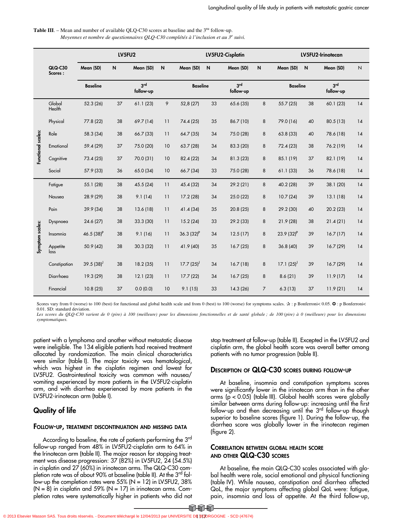| <b>Table III.</b> – Mean and number of available OLO-C30 scores at baseline and the $3rd$ follow-up. |
|------------------------------------------------------------------------------------------------------|
| Moyennes et nombre de questionnaires QLQ-C30 complétés à l'inclusion et au 3 <sup>e</sup> suivi.     |

|                    |                    | LV5FU2          |              |                              | LV5FU2-Cisplatin |                 |    |                              | LV5FU2-Irinotecan |                 |    |                              |                |
|--------------------|--------------------|-----------------|--------------|------------------------------|------------------|-----------------|----|------------------------------|-------------------|-----------------|----|------------------------------|----------------|
|                    | QLQ-C30<br>Scores: | Mean (SD)       | $\mathsf{N}$ | Mean (SD)                    | $\sf N$          | Mean (SD)       | N  | Mean (SD)                    | $\mathsf{N}$      | Mean (SD)       | N  | Mean (SD)                    | $\overline{N}$ |
|                    |                    | <b>Baseline</b> |              | 3 <sup>rd</sup><br>follow-up |                  | <b>Baseline</b> |    | 3 <sup>rd</sup><br>follow-up |                   | <b>Baseline</b> |    | 3 <sup>rd</sup><br>follow-up |                |
|                    | Global<br>Health   | 52.3 (26)       | 37           | 61.1(23)                     | 9                | 52,8 (27)       | 33 | 65.6 (35)                    | 8                 | 55.7 (25)       | 38 | 60.1(23)                     | 14             |
|                    | Physical           | 77.8 (22)       | 38           | 69.7 (14)                    | 11               | 74.4 (25)       | 35 | 86.7 (10)                    | 8                 | 79.0 (16)       | 40 | 80.5 (13)                    | 14             |
|                    | Role               | 58.3 (34)       | 38           | 66.7 (33)                    | 11               | 64.7 (35)       | 34 | 75.0 (28)                    | 8                 | 63.8 (33)       | 40 | 78.6 (18)                    | 14             |
| Functional scales: | Emotional          | 59.4 (29)       | 37           | 75.0 (20)                    | 10               | 63.7 (28)       | 34 | 83.3 (20)                    | 8                 | 72.4 (23)       | 38 | 76.2 (19)                    | 14             |
|                    | Cognitive          | 73.4 (25)       | 37           | 70.0 (31)                    | 10               | 82.4 (22)       | 34 | 81.3 (23)                    | 8                 | 85.1 (19)       | 37 | 82.1 (19)                    | 14             |
|                    | Social             | 57.9 (33)       | 36           | 65.0 (34)                    | 10               | 66.7 (34)       | 33 | 75.0 (28)                    | 8                 | 61.1(33)        | 36 | 78.6 (18)                    | 14             |
|                    | Fatigue            | 55.1 (28)       | 38           | 45.5 (24)                    | 11               | 45.4 (32)       | 34 | 29.2 (21)                    | 8                 | 40.2 (28)       | 39 | 38.1 (20)                    | 14             |
|                    | Nausea             | 28.9 (29)       | 38           | 9.1(14)                      | 11               | 17.2 (28)       | 34 | 25.0 (22)                    | 8                 | 10.7(24)        | 39 | 13.1(18)                     | 14             |
|                    | Pain               | 39.9 (34)       | 38           | 13.6 (18)                    | 11               | 41.4 (34)       | 35 | 20.8 (25)                    | 8                 | 29.2 (30)       | 40 | 20.2(23)                     | 14             |
|                    | Dyspnoea           | 24.6 (27)       | 38           | 33.3 (30)                    | 11               | 15.2(24)        | 33 | 29.2 (33)                    | 8                 | 21.9(28)        | 38 | 21.4(21)                     | 14             |
|                    | Insomnia           | 46.5 $(38)^P$   | 38           | 9.1(16)                      | 11               | $36.3(32)^P$    | 34 | 12.5(17)                     | 8                 | 23.9 $(32)^P$   | 39 | 16.7(17)                     | 14             |
| Symptom scales:    | Appetite<br>loss   | 50.9 (42)       | 38           | 30.3 (32)                    | 11               | 41.9 (40)       | 35 | 16.7(25)                     | 8                 | 36.8 (40)       | 39 | 16.7(29)                     | 14             |
|                    | Constipation       | $39.5(38)^{J}$  | 38           | 18.2(35)                     | 11               | $17.7(25)^{J}$  | 34 | 16.7(18)                     | 8                 | $17.1(25)^{J}$  | 39 | 16.7(29)                     | 14             |
|                    | Diarrhoea          | 19.3 (29)       | 38           | 12.1(23)                     | 11               | 17.7(22)        | 34 | 16.7(25)                     | 8                 | 8.6(21)         | 39 | 11.9(17)                     | 14             |
|                    | Financial          | 10.8(25)        | 37           | 0.0(0.0)                     | 10               | 9.1(15)         | 33 | 14.3 (26)                    | $\overline{7}$    | 6.3(13)         | 37 | 11.9(21)                     | 14             |

Scores vary from 0 (worse) to 100 (best) for functional and global health scale and from 0 (best) to 100 (worse) for symptoms scales.  $\mathbf{\hat{x}}$ : p Bonferroni< 0.05.  $\mathbf{O}$ : p Bonferroni< 0.01. SD: standard deviation.

*Les scores du QLQ-C30 varient de 0 (pire) à 100 (meilleure) pour les dimensions fonctionnelles et de santé globale ; de 100 (pire) à 0 (meilleure) pour les dimensions symptomatiques.*

patient with a lymphoma and another without metastatic disease were ineligible. The 134 eligible patients had received treatment allocated by randomization. The main clinical characteristics were similar (table I). The major toxicity was hematological, which was highest in the cisplatin regimen and lowest for LV5FU2. Gastrointestinal toxicity was common with nausea/ vomiting experienced by more patients in the LV5FU2-cisplatin arm, and with diarrhea experienced by more patients in the LV5FU2-irinotecan arm (table I).

# **Quality of life**

### **FOLLOW-UP, TREATMENT DISCONTINUATION AND MISSING DATA**

According to baseline, the rate of patients performing the 3<sup>rd</sup> follow-up ranged from 48% in LV5FU2-cisplatin arm to 64% in the Irinotecan arm (table II). The major reason for stopping treatment was disease progression: 37 (82%) in LV5FU2, 24 (54.5%) in cisplatin and 27 (60%) in irinotecan arms. The QLQ-C30 completion rate was of about 90% at baseline (table II). At the 3<sup>rd</sup> follow-up the completion rates were  $55\%$  (N = 12) in LV5FU2, 38%  $(N = 8)$  in cisplatin and 59%  $(N = 17)$  in irinotecan arms. Completion rates were systematically higher in patients who did not stop treatment at follow-up (table II). Excepted in the LV5FU2 and cisplatin arm, the global health score was overall better among patients with no tumor progression (table II).

### **DESCRIPTION OF QLQ-C30 SCORES DURING FOLLOW-UP**

At baseline, insomnia and constipation symptoms scores were significantly lower in the irinotecan arm than in the other arms (p < 0.05) (table III). Global health scores were globally similar between arms during follow-up: increasing until the first follow-up and then decreasing until the 3<sup>rd</sup> follow-up though superior to baseline scores (figure 1). During the follow-up, the diarrhea score was globally lower in the irinotecan regimen (figure 2).

# **CORRELATION BETWEEN GLOBAL HEALTH SCORE AND OTHER QLQ-C30 SCORES**

At baseline, the main QLQ-C30 scales associated with global health were role, social emotional and physical functioning (table IV). While nausea, constipation and diarrhea affected QoL, the major symptoms affecting global QoL were: fatigue, pain, insomnia and loss of appetite. At the third follow-up,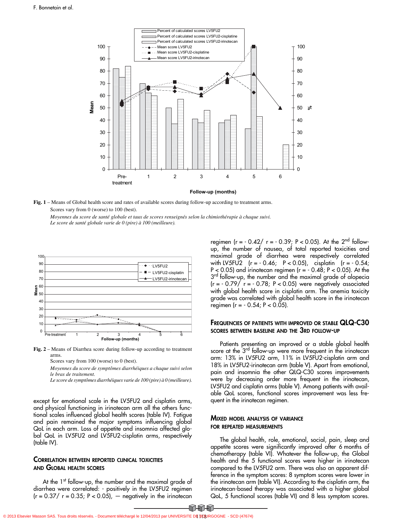

**Fig. 1** – Means of Global health score and rates of available scores during follow-up according to treatment arms. Scores vary from 0 (worse) to 100 (best).

*Moyennes du score de santé globale et taux de scores renseignés selon la chimiothérapie à chaque suivi. Le score de santé globale varie de 0 (pire) à 100 (meilleure).*



**Fig. 2** – Means of Diarrhea score during follow-up according to treatment arms.

Scores vary from 100 (worse) to 0 (best).

*Moyennes du score de symptômes diarrhéiques a chaque suivi selon le bras de traitement.*

*Le score de symptômes diarrhéiques varie de 100 (pire) à 0 (meilleure).*

except for emotional scale in the LV5FU2 and cisplatin arms, and physical functioning in irinotecan arm all the others functional scales influenced global health scores (table IV). Fatigue and pain remained the major symptoms influencing global QoL in each arm. Loss of appetite and insomnia affected global QoL in LV5FU2 and LV5FU2-cisplatin arms, respectively (table IV).

### **CORRELATION BETWEEN REPORTED CLINICAL TOXICITIES AND GLOBAL HEALTH SCORES**

At the 1<sup>st</sup> follow-up, the number and the maximal grade of diarrhea were correlated: - positively in the LV5FU2 regimen  $(r = 0.37 / r = 0.35; P < 0.05)$ ,  $-$  negatively in the irinotecan

regimen  $(r = -0.42 / r = -0.39; P < 0.05)$ . At the 2<sup>nd</sup> followup, the number of nausea, of total reported toxicities and maximal grade of diarrhea were respectively correlated with LV5FU2 (r = - 0.46; P < 0.05), cisplatin (r = - 0.54;  $P < 0.05$ ) and irinotecan regimen ( $r = -0.48$ ;  $P < 0.05$ ). At the 3<sup>rd</sup> follow-up, the number and the maximal grade of alopecia  $(r = -0.79/ r = -0.78; P < 0.05)$  were negatively associated with global health score in cisplatin arm. The anemia toxicity grade was correlated with global health score in the irinotecan regimen (r = - 0.54; P < 0.05).

### **FREQUENCIES OF PATIENTS WITH IMPROVED OR STABLE QLQ-C30 SCORES BETWEEN BASELINE AND THE 3RD FOLLOW-UP**

Patients presenting an improved or a stable global health score at the 3<sup>rd</sup> follow-up were more frequent in the irinotecan arm: 13% in LV5FU2 arm, 11% in LV5FU2-cisplatin arm and 18% in LV5FU2-irinotecan arm (table V). Apart from emotional, pain and insomnia the other QLQ-C30 scores improvements were by decreasing order more frequent in the irinotecan, LV5FU2 and cisplatin arms (table V). Among patients with available QoL scores, functional scores improvement was less frequent in the irinotecan regimen.

### **MIXED MODEL ANALYSIS OF VARIANCE FOR REPEATED MEASUREMENTS**

The global health, role, emotional, social, pain, sleep and appetite scores were significantly improved after 6 months of chemotherapy (table VI). Whatever the follow-up, the Global health and the 5 functional scores were higher in irinotecan compared to the LV5FU2 arm. There was also an apparent difference in the symptom scores: 8 symptom scores were lower in the irinotecan arm (table VI). According to the cisplatin arm, the irinotecan-based therapy was associated with a higher global QoL, 5 functional scores (table VI) and 8 less symptom scores.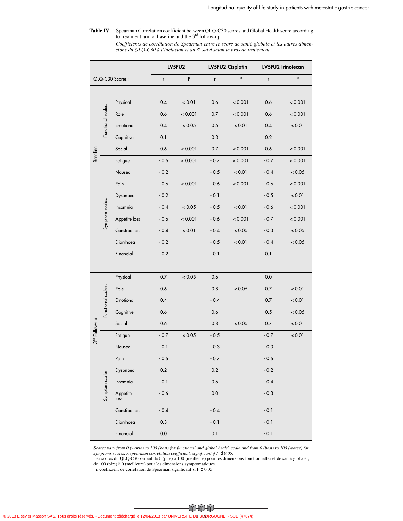**Table IV**. – Spearman Correlation coefficient between QLQ-C30 scores and Global Health score according to treatment arm at baseline and the 3rd follow-up.

*Coefficients de corrélation de Spearman entre le score de santé globale et les autres dimensions du QLQ-C30 à l'inclusion et au 3e suivi selon le bras de traitement.*

|                 |                    |                  | LV5FU2  |         |         | LV5FU2-Cisplatin | LV5FU2-Irinotecan |         |
|-----------------|--------------------|------------------|---------|---------|---------|------------------|-------------------|---------|
| QLQ-C30 Scores: |                    | r                | P       | r       | P       | r                | P                 |         |
|                 |                    |                  |         |         |         |                  |                   |         |
|                 |                    | Physical         | 0.4     | < 0.01  | 0.6     | < 0.001          | 0.6               | < 0.001 |
|                 | Functional scales: | Role             | 0.6     | < 0.001 | 0.7     | < 0.001          | 0.6               | < 0.001 |
|                 |                    | Emotional        | 0.4     | < 0.05  | 0.5     | < 0.01           | 0.4               | < 0.01  |
|                 |                    | Cognitive        | 0.1     |         | 0.3     |                  | 0.2               |         |
| <b>Baseline</b> |                    | Social           | 0.6     | < 0.001 | 0.7     | < 0.001          | 0.6               | < 0.001 |
|                 |                    | Fatigue          | $-0.6$  | < 0.001 | $-0.7$  | < 0.001          | $-0.7$            | < 0.001 |
|                 |                    | Nausea           | $-0.2$  |         | $-0.5$  | < 0.01           | $-0.4$            | < 0.05  |
|                 |                    | Pain             | $-0.6$  | < 0.001 | $-0.6$  | < 0.001          | $-0.6$            | < 0.001 |
|                 |                    | Dyspnoea         | $-0.2$  |         | $-0.1$  |                  | $-0.5$            | < 0.01  |
|                 | Symptom scales:    | Insomnia         | $-0.4$  | < 0.05  | $-0.5$  | < 0.01           | $-0.6$            | < 0.001 |
|                 |                    | Appetite loss    | $-0.6$  | < 0.001 | $-0.6$  | < 0.001          | $-0.7$            | < 0.001 |
|                 |                    | Constipation     | $-0.4$  | < 0.01  | $-0.4$  | < 0.05           | $-0.3$            | < 0.05  |
|                 |                    | Diarrhoea        | $-0.2$  |         | $-0.5$  | < 0.01           | $-0.4$            | < 0.05  |
|                 |                    | Financial        | $-0.2$  |         | $-0.1$  |                  | 0.1               |         |
|                 |                    |                  |         |         |         |                  |                   |         |
|                 |                    | Physical         | 0.7     | < 0.05  | 0.6     |                  | 0.0               |         |
|                 |                    | Role             | 0.6     |         | 0.8     | < 0.05           | 0.7               | < 0.01  |
|                 |                    | Emotional        | 0.4     |         | $-0.4$  |                  | 0.7               | < 0.01  |
|                 | Functional scales: | Cognitive        | 0.6     |         | 0.6     |                  | 0.5               | < 0.05  |
|                 |                    | Social           | 0.6     |         | 0.8     | < 0.05           | 0.7               | < 0.01  |
| 3rd Follow-up   |                    | Fatigue          | $-0.7$  | < 0.05  | $-0.5$  |                  | $-0.7$            | < 0.01  |
|                 |                    | Nausea           | $-0.1$  |         | $-0.3$  |                  | $-0.3$            |         |
|                 |                    | Pain             | $-0.6$  |         | $-0.7$  |                  | $-0.6$            |         |
|                 |                    | Dyspnoea         | $0.2\,$ |         | $0.2\,$ |                  | $-0.2$            |         |
|                 |                    | Insomnia         | $-0.1$  |         | 0.6     |                  | $-0.4$            |         |
|                 | Symptom scales:    | Appetite<br>loss | $-0.6$  |         | $0.0\,$ |                  | $-0.3$            |         |
|                 |                    | Constipation     | $-0.4$  |         | $-0.4$  |                  | $-0.1$            |         |
|                 |                    | Diarrhoea        | 0.3     |         | $-0.1$  |                  | $-0.1$            |         |
|                 |                    | Financial        | $0.0\,$ |         | $0.1\,$ |                  | $-0.1$            |         |

*Scores vary from 0 (worse) to 100 (best) for functional and global health scale and from 0 (best) to 100 (worse) for symptoms scales. r, spearman correlation coefficient, significant if P d 0.05.*

Les scores du QLQ-C30 varient de 0 (pire) à 100 (meilleure) pour les dimensions fonctionnelles et de santé globale ; de 100 (pire) à 0 (meilleure) pour les dimensions symptomatiques.

. r, coefficient de corrélation de Spearman significatif si P  $\Omega$ 0.05.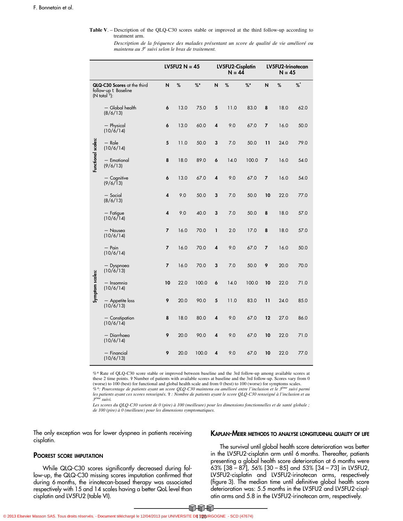#### **Table V**. – Description of the QLQ-C30 scores stable or improved at the third follow-up according to treatment arm.

*Description de la fréquence des malades présentant un score de qualité de vie amélioré ou* maintenu au 3<sup>e</sup> suivi selon le bras de traitement.

|                    |                                                                                          |    | LV5FU2 $N = 45$ |       |   | LV5FU2-Cisplatin<br>$N = 44$ |       |    | LV5FU2-Irinotecan<br>$N = 45$ |      |
|--------------------|------------------------------------------------------------------------------------------|----|-----------------|-------|---|------------------------------|-------|----|-------------------------------|------|
|                    | QLQ-C30 Scores at the third<br>follow-up ØBaseline<br>$(N \text{ total } \frac{5}{7})$ : | N  | %               | %     | N | %                            | %     | N  | %                             | $\%$ |
|                    | - Global health<br>(8/6/13)                                                              | 6  | 13.0            | 75.0  | 5 | 11.0                         | 83.0  | 8  | 18.0                          | 62.0 |
|                    | - Physical<br>$(10/\dot{6}/14)$                                                          | 6  | 13.0            | 60.0  | 4 | 9.0                          | 67.0  | 7  | 16.0                          | 50.0 |
|                    | $-$ Role<br>(10/6/14)                                                                    | 5  | 11.0            | 50.0  | 3 | 7.0                          | 50.0  | 11 | 24.0                          | 79.0 |
| Functional scales: | - Emotional<br>(9/6/13)                                                                  | 8  | 18.0            | 89.0  | 6 | 14.0                         | 100.0 | 7  | 16.0                          | 54.0 |
|                    | $-$ Cognitive<br>(9/6/13)                                                                | 6  | 13.0            | 67.0  | 4 | 9.0                          | 67.0  | 7  | 16.0                          | 54.0 |
|                    | - Social<br>(8/6/13)                                                                     | 4  | 9.0             | 50.0  | 3 | 7.0                          | 50.0  | 10 | 22.0                          | 77.0 |
|                    | $-$ Fatigue<br>(10/6)14                                                                  | 4  | 9.0             | 40.0  | 3 | 7.0                          | 50.0  | 8  | 18.0                          | 57.0 |
|                    | - Nausea<br>(10/6/14)                                                                    | 7  | 16.0            | 70.0  | 1 | 2.0                          | 17.0  | 8  | 18.0                          | 57.0 |
|                    | $-$ Pain<br>(10/6/14)                                                                    | 7  | 16.0            | 70.0  | 4 | 9.0                          | 67.0  | 7  | 16.0                          | 50.0 |
|                    | - Dyspnoea<br>(10/6/13)                                                                  | 7  | 16.0            | 70.0  | 3 | 7.0                          | 50.0  | 9  | 20.0                          | 70.0 |
| Symptom scales:    | — Insomnia<br>(10/6/14)                                                                  | 10 | 22.0            | 100.0 | 6 | 14.0                         | 100.0 | 10 | 22.0                          | 71.0 |
|                    | - Appetite loss<br>(10/6/13)                                                             | 9  | 20.0            | 90.0  | 5 | 11.0                         | 83.0  | 11 | 24.0                          | 85.0 |
|                    | - Constipation<br>(10/6/14)                                                              | 8  | 18.0            | 80.0  | 4 | 9.0                          | 67.0  | 12 | 27.0                          | 86.0 |
|                    | — Diarrhoea<br>(10/6/14)                                                                 | 9  | 20.0            | 90.0  | 4 | 9.0                          | 67.0  | 10 | 22.0                          | 71.0 |
|                    | - Financial<br>(10/6/13)                                                                 | 9  | 20.0            | 100.0 | 4 | 9.0                          | 67.0  | 10 | 22.0                          | 77.0 |

%\* Rate of QLQ-C30 score stable or improved between baseline and the 3rd follow-up among available scores at these 2 time points.  $\hat{y}$  Number of patients with available scores at baseline and the 3rd follow-up. Scores vary from 0 (worse) to 100 (best) for functional and global health scale and from 0 (best) to 100 (worse) for symptoms scales.

*%\*: Pourcentage de patients ayant un score QLQ-C30 maintenu ou amélioré entre l'inclusion et le 3ème suivi parmi les patients ayant ces scores renseignés.*  $\hat{\mathbf{r}}$  *: Nombre de patients ayant le score QLQ-C30 renseigné à l'inclusion et au*<br><sup>*3ème</sup> suivi.*</sup> <sup>1e</sup> suivi.

*Les scores du QLQ-C30 varient de 0 (pire) à 100 (meilleure) pour les dimensions fonctionnelles et de santé globale ; de 100 (pire) à 0 (meilleure) pour les dimensions symptomatiques.*

The only exception was for lower dyspnea in patients receiving cisplatin.

### **POOREST SCORE IMPUTATION**

While QLQ-C30 scores significantly decreased during follow-up, the QLQ-C30 missing scores imputation confirmed that during 6 months, the irinotecan-based therapy was associated respectively with 15 and 14 scales having a better QoL level than cisplatin and LV5FU2 (table VI).

### **KAPLAN-MEIER METHODS TO ANALYSE LONGITUDINAL QUALITY OF LIFE**

The survival until global health score deterioration was better in the LV5FU2-cisplatin arm until 6 months. Thereafter, patients presenting a global health score deterioration at 6 months were 63% [38 – 87], 56% [30 – 85] and 53% [34 – 73] in LV5FU2, LV5FU2-cisplatin and LV5FU2-irinotecan arms, respectively (figure 3). The median time until definitive global health score deterioration was: 5.5 months in the LV5FU2 and LV5FU2-cisplatin arms and 5.8 in the LV5FU2-irinotecan arm, respectively.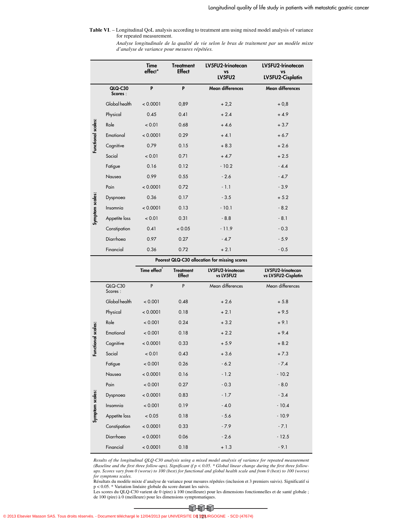#### **Table VI**. – Longitudinal QoL analysis according to treatment arm using mixed model analysis of variance for repeated measurement.

*Analyse longitudinale de la qualité de vie selon le bras de traitement par un modèle mixte d'analyse de variance pour mesures répétées.*

|                    |                    | <b>Time</b><br>effect* | <b>Treatment</b><br><b>Effect</b> | LV5FU2-Irinotecan<br><b>VS</b><br>LV5FU2 | LV5FU2-Irinotecan<br><b>VS</b><br>LV5FU2-Cisplatin |
|--------------------|--------------------|------------------------|-----------------------------------|------------------------------------------|----------------------------------------------------|
|                    | QLQ-C30<br>Scores: | P                      | P                                 | Mean differences                         | <b>Mean differences</b>                            |
|                    | Global health      | < 0.0001               | 0,89                              | $+2,2$                                   | $+0.8$                                             |
|                    | Physical           | 0.45                   | 0.41<br>$+2.4$                    |                                          | $+4.9$                                             |
| Functional scales: | Role               | < 0.01                 | 0.68                              | $+4.6$                                   | $+3.7$                                             |
|                    | Emotional          | < 0.0001               | 0.29                              | $+4.1$                                   | $+6.7$                                             |
|                    | Cognitive          | 0.79                   | 0.15                              | $+8.3$                                   | $+2.6$                                             |
|                    | Social             | < 0.01                 | 0.71                              | $+4.7$                                   | $+2.5$                                             |
|                    | Fatigue            | 0.16                   | 0.12                              | $-10.2$                                  | $-4.4$                                             |
|                    | Nausea             | 0.99                   | 0.55                              | $-2.6$                                   | $-4.7$                                             |
|                    | Pain               | < 0.0001               | 0.72                              | $-1.1$                                   | $-3.9$                                             |
|                    | Dyspnoea           | 0.36                   | 0.17                              | $-3.5$                                   | $+5.2$                                             |
|                    | Insomnia           | < 0.0001               | 0.13                              | $-10.1$                                  | $-8.2$                                             |
| Symptom scales:    | Appetite loss      | < 0.01                 | 0.31                              | $-8.8$                                   | $-8.1$                                             |
|                    | Constipation       | 0.41                   | < 0.05                            | $-11.9$                                  | $-0.3$                                             |
|                    | Diarrhoea          | 0.97                   | 0.27                              | $-4.7$                                   | $-5.9$                                             |
|                    | Financial          | 0.36                   | 0.72                              | $+2.1$                                   | $-0.5$                                             |

#### **Poorest QLQ-C30 allocation for missing scores**

|                    |                    | Time effect <sup>*</sup> | <b>Treatment</b><br><b>Effect</b> | LV5FU2-Irinotecan<br>vs LV5FU2 | LV5FU2-Irinotecan<br>vs LV5FU2-Cisplatin |
|--------------------|--------------------|--------------------------|-----------------------------------|--------------------------------|------------------------------------------|
|                    | QLQ-C30<br>Scores: | P                        | P                                 | Mean differences               | Mean differences                         |
|                    | Global health      | < 0.001                  | 0.48                              | $+2.6$                         | $+5.8$                                   |
|                    | Physical           | < 0.0001                 | 0.18                              | $+2.1$                         | $+9.5$                                   |
|                    | Role               | < 0.001                  | 0.24                              | $+3.2$                         | $+9.1$                                   |
| Functional scales: | Emotional          | < 0.001                  | 0.18                              | $+2.2$                         | $+9.4$                                   |
|                    | Cognitive          | < 0.0001                 | 0.33                              | $+5.9$                         | $+8.2$                                   |
|                    | Social             | < 0.01                   | 0.43                              | $+3.6$                         | $+7.3$                                   |
|                    | Fatigue            | < 0.001                  | 0.26                              | $-6.2$                         | $-7.4$                                   |
|                    | Nausea             | < 0.0001                 | 0.16                              | $-1.2$                         | $-10.2$                                  |
|                    | Pain               | < 0.001                  | 0.27                              | $-0.3$                         | $-8.0$                                   |
|                    | Dyspnoea           | < 0.0001                 | 0.83                              | $-1.7$                         | $-3.4$                                   |
|                    | Insomnia           | < 0.001                  | 0.19                              | $-4.0$                         | $-10.4$                                  |
| Symptom scales:    | Appetite loss      | < 0.05                   | 0.18                              | $-5.6$                         | $-10.9$                                  |
|                    | Constipation       | < 0.0001                 | 0.33                              | $-7.9$                         | $-7.1$                                   |
|                    | Diarrhoea          | < 0.0001                 | 0.06                              | $-2.6$                         | $-12.5$                                  |
|                    | Financial          | < 0.0001                 | 0.18                              | $+1.3$                         | $-9.1$                                   |

*Results of the longitudinal QLQ-C30 analysis using a mixed model analysis of variance for repeated measurement* (Baseline and the first three follow-ups). Significant if p < 0.05. \* Global linear change during the first three follow-<br>ups. Scores vary from 0 (worse) to 100 (best) for functional and global health scale and from 0 (bes *for symptoms scales.*

Résultats du modèle mixte d'analyse de variance pour mesures répétées (inclusion et 3 premiers suivis). Significatif si p < 0.05. \* Variation linéaire globale du score durant les suivis.

Les scores du QLQ-C30 varient de 0 (pire) à 100 (meilleure) pour les dimensions fonctionnelles et de santé globale ; de 100 (pire) à 0 (meilleure) pour les dimensions symptomatiques.

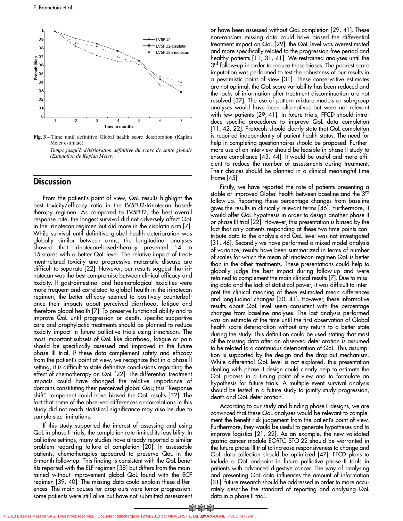

**Fig. 3** – Time until definitive Global health score deterioration (Kaplan Meier estimate).

*Temps jusqu'à détérioration définitive du score de santé globale (Estimation de Kaplan Meier).*

# **Discussion**

From the patient's point of view, QoL results highlight the best toxicity/efficacy ratio in the LV5FU2-Irinotecan basedtherapy regimen. As compared to LV5FU2, the best overall response rate, the longest survival did not adversely affect QoL in the irinotecan regimen but did more in the cisplatin arm [7]. While survival until definitive global health deterioration was globally similar between arms, the longitudinal analyses showed that irinotecan-based-therapy presented 14 to 15 scores with a better QoL level. The relative impact of treatment-related toxicity and progressive metastatic disease are difficult to separate [22]. However, our results suggest that irinotecan was the best compromise between clinical efficacy and toxicity. If gastrointestinal and haematological toxicities were more frequent and correlated to global health in the irinotecan regimen, the better efficacy seemed to positively counterbalance their impacts about perceived diarrhoea, fatigue and therefore global health [7]. To preserve functional ability and to improve QoL until progression or death, specific supportive care and prophylactic treatments should be planned to reduce toxicity impact in future palliative trials using irinotecan. The most important subsets of QoL like diarrhoea, fatigue or pain should be specifically assessed and improved in the future phase III trial. If these data complement safety and efficacy from the patient's point of view, we recognize that in a phase II setting, it is difficult to state definitive conclusions regarding the effect of chemotherapy on QoL [22]. The differential treatment impacts could have changed the relative importance of domains constituting their perceived global QoL; this "Response shift" component could have biased the QoL results [32]. The fact that some of the observed differences or correlations in this study did not reach statistical significance may also be due to sample size limitations.

If this study supported the interest of assessing and using QoL in phase II trials, the completion rate limited its feasibility. In palliative settings, many studies have already reported a similar problem regarding failure of completion [20]. In assessable patients, chemotherapies appeared to preserve QoL in the 6-month follow-up. This finding is consistent with the QoL benefits reported with the ELF regimen [38] but differs from the maintained without improvement global QoL found with the ECF regimen [39, 40]. The missing data could explain these differences. The main causes for drop-outs were tumor progression: some patients were still alive but have not submitted assessment

or have been assessed without QoL completion [29, 41]. These non-random missing data could have biased the differential treatment impact on QoL [29]: the QoL level was overestimated and more specifically related to the progression-free period and healthy patients [11, 31, 41]. We restrained analyses until the 3<sup>rd</sup> follow-up in order to reduce these biases. The poorest score imputation was performed to test the robustness of our results in a pessimistic point of view [31]. These conservative estimates are not optimal: the QoL score variability has been reduced and the lacks of information after treatment discontinuation are not resolved [37]. The use of pattern mixture models or sub-group analyses would have been alternatives but were not relevant with few patients [29, 41]. In future trials, FFCD should introduce specific procedures to improve QoL data completion [11, 42, 22]. Protocols should clearly state that QoL completion is required independently of patient health status. The need for help in completing questionnaires should be proposed. Furthermore use of an interview should be feasible in phase II study to ensure compliance [43, 44]. It would be useful and more efficient to reduce the number of assessments during treatment. Their choices should be planned in a clinical meaningful time frame [45].

Firstly, we have reported the rate of patients presenting a stable or improved Global health between baseline and the 3rd follow-up. Reporting these percentage changes from baseline gives the results in clinically relevant terms [46]. Furthermore, it would offer QoL hypothesis in order to design another phase II or phase III trial [22]. However, this presentation is biased by the fact that only patients responding at these two time points contribute data to the analysis and QoL level was not investigated [31, 46]. Secondly we have performed a mixed model analysis of variance; results have been summarized in terms of number of scales for which the mean of Irinotecan-regimen QoL is better than in the other treatments. These presentations could help to globally judge the best impact during follow-up and were retained to complement the main clinical results [7]. Due to missing data and the lack of statistical power, it was difficult to interpret the clinical meaning of these estimated mean differences and longitudinal changes [30, 41]. However, these informative results about QoL level seem consistent with the percentage changes from baseline analyses. The last analysis performed was an estimate of the time until the first observation of Global health score deterioration without any return to a better state during the study. This definition could be used stating that most of the missing data after an observed deterioration is assumed to be related to a continuous deterioration of QoL. This assumption is supported by the design and the drop-out mechanism. While differential QoL level is not explored, this presentation dealing with phase II design could clearly help to estimate the QoL process in a timing point of view and to formulate an hypothesis for future trials. A multiple event survival analysis should be tested in a future study to jointly study progression, death and QoL deterioration.

According to our study and binding phase II designs, we are convinced that these QoL analyses would be relevant to complement the benefit-risk judgement from the patient's point of view. Furthermore, they would be useful to generate hypotheses and to improve logistics [21, 22]. As an example, the new validated gastric cancer module EORTC STO 22 should be warranted in the future phase III trial to increase responsiveness to change and QoL data collection should be optimized [47]. FFCD plans to include a QoL endpoint in future palliative phase II trials in patients with advanced digestive cancer. The way of analysing and presenting QoL data influences the amount of information [31]: future research should be addressed in order to more accurately describe the standard of reporting and analysing QoL data in a phase II trial.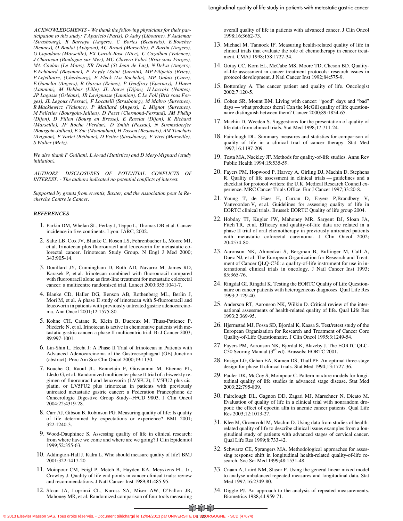*ACKNOWLEDGMENTS - We thank the following physicians for their participation to this study: T Aparicio (Paris), D Auby (Libourne), F Audemar (Strasbourg), R Barraya (Angers), C Bories (Beauvais), E Boucher (Rennes), O Boulat (Avignon), AC Braud (Marseille), P Burtin (Angers), G Capodano (Marseille), FX Caroli-Bosc (Nice), C Cazalbou (Valence), J Charneau (Boulogne sur Mer), MC Clavero-Fabri (Briis sous Forges), MA Coulon (Le Mans), XR David (St Jean de Luz), N Delva (Angers), E Echinard (Bayonne), P Feydy (Saint Quentin), MP Filipetto (Briey), P Lefelliatre, (Cherbourg), E Fleck (La Rochelle), MP Galais (Caen), E Gamelin (Angers), B Garcia (Reims), P Geoffroy (Epernay), J Haem (Lannion), M Hebbar (Lille), JL Jouve (Dijon), H Lacroix (Nantes), JP Lagasse (Orléans), JR Lavignasse (Lannion), C Le Foll (Bris sous Forges), JL Legoux (Pessac), F Locatelli (Strasbourg), M Mabro (Suresnes), R Mackiewicz (Valence), P Maillard (Angers), L Mignot (Suresnes), M Pelletier (Bourgoin-Jallieu), D Pezet (Clermond-Ferrand), JM Phélip (Dijon), D Pillon (Bourg en Bresse), E Rassiat (Dijon), K Richard (Marseille), JF Roche (Verdun), D Smith (Pessac), N Stremsdoerfer (Bourgoin-Jallieu), E Suc (Montauban), H Tossou (Beauvais), AM Touchais (Avignon), F Varlet (Béthune), D Vetter (Strasbourg), F Viret (Marseille), S Walter (Metz).*

*We also thank F Guiliani, L Awad (Statistics) and D Mery-Mignard (study initiation).*

*AUTHORS' DISCLOSURES OF POTENTIAL CONFLICTS INTEREST: - The authors indicated no potential conflicts of interest.*

*Supported by grants from Aventis, Baxter, and the Association pour la Recherche Contre le Cancer.*

#### *REFERENCES*

- 1. Parkin DM, Whelan SL, Ferlay J, Teppo L, Thomas DB et al. Cancer incidence in five continents. Lyon: IARC, 2002.
- 2. Saltz LB, Cox JV, Blanke C, Rosen LS, Fehrenbacher L, Moore MJ, et al. Irinotecan plus fluorouracil and leucovorin for metastatic colorectal cancer. Irinotecan Study Group. N Engl J Med 2000; 343:905-14.
- 3. Douillard JY, Cunningham D, Roth AD, Navarro M, James RD, Karasek P, et al. Irinotecan combined with fluorouracil compared with fluorouracil alone as first-line treatment for metastatic colorectal cancer: a multicentre randomised trial. Lancet 2000;355:1041-7.
- 4. Blanke CD, Haller DG, Benson AB, Rothenberg ML, Berlin J, Mori M, et al. A phase II study of irinotecan with 5-fluorouracil and leucovorin in patients with previously untreated gastric adenocarcinoma. Ann Oncol 2001;12:1575-80.
- 5. Kohne CH, Catane R, Klein B, Ducreux M, Thuss-Patience P, Niederle N, et al. Irinotecan is active in chemonaive patients with metastatic gastric cancer: a phase II multicentric trial. Br J Cancer 2003; 89:997-1001.
- 6. Lin-Shin L, Hecht J: A Phase II Trial of Irinotecan in Patients with Advanced Adenocarcinoma of the Gastroesophageal (GE) Junction (abstract). Proc Am Soc Clin Oncol 2000;19:1130.
- 7. Bouche O, Raoul JL, Bonnetain F, Giovannini M, Etienne PL, Lledo G, et al. Randomized multicenter phase II trial of a biweekly regimen of fluorouracil and leucovorin (LV5FU2), LV5FU2 plus cisplatin, or LV5FU2 plus irinotecan in patients with previously untreated metastatic gastric cancer: a Federation Francophone de Cancerologie Digestive Group Study--FFCD 9803. J Clin Oncol 2004;22:4319-28.
- 8. Carr AJ, Gibson B, Robinson PG. Measuring quality of life: Is quality of life determined by expectations or experience? BMJ 2001; 322:1240-3.
- 9. Wood-Dauphinee S. Assessing quality of life in clinical research: from where have we come and where are we going? J Clin Epidemiol 1999;52:355-63.
- 10. Addington-Hall J, Kalra L. Who should measure quality of life? BMJ 2001;322:1417-20.
- 11. Moinpour CM, Feigl P, Metch B, Hayden KA, Meyskens FL, Jr., Crowley J. Quality of life end points in cancer clinical trials: review and recommendations. J Natl Cancer Inst 1989;81:485-95.
- 12. Sloan JA, Loprinzi CL, Kuross SA, Miser AW, O'Fallon JR, Mahoney MR, et al. Randomized comparison of four tools measuring

overall quality of life in patients with advanced cancer. J Clin Oncol 1998;16:3662-73.

- 13. Michael M, Tannock IF. Measuring health-related quality of life in clinical trials that evaluate the role of chemotherapy in cancer treatment. CMAJ 1998;158:1727-34.
- 14. Gotay CC, Korn EL, McCabe MS, Moore TD, Cheson BD. Qualityof-life assessment in cancer treatment protocols: research issues in protocol development. J Natl Cancer Inst 1992;84:575-9.
- 15. Bottomley A. The cancer patient and quality of life. Oncologist 2002;7:120-5.
- 16. Cohen SR, Mount BM. Living with cancer: "good" days and "bad" days — what produces them? Can the McGill quality of life questionnaire distinguish between them? Cancer 2000;89:1854-65.
- 17. Machin D, Weeden S. Suggestions for the presentation of quality of life data from clinical trials. Stat Med 1998;17:711-24.
- 18. Fairclough DL. Summary measures and statistics for comparison of quality of life in a clinical trial of cancer therapy. Stat Med 1997;16:1197-209.
- 19. Testa MA, Nackley JF. Methods for quality-of-life studies. Annu Rev Public Health 1994;15:535-59.
- 20. Fayers PM, Hopwood P, Harvey A, Girling DJ, Machin D, Stephens R. Quality of life assessment in clinical trials — guidelines and a checklist for protocol writers: the U.K. Medical Research Council experience. MRC Cancer Trials Office. Eur J Cancer 1997;33:20-8.
- 21. Young T, de Haes H, Curran D, Fayers P,Brandberg V, Vanvoorden V, et al. Guidelines for assessing quality of life in EORTC clinical trials. Brussel: EORTC Quality of life group 2004.
- 22. Hobday TJ, Kugler JW, Mahoney MR, Sargent DJ, Sloan JA, Fitch TR, et al. Efficacy and quality-of-life data are related in a phase II trial of oral chemotherapy in previously untreated patients with metastatic colorectal carcinoma. J Clin Oncol 2002; 20:4574-80.
- 23. Aaronson NK, Ahmedzai S, Bergman B, Bullinger M, Cull A, Duez NJ, et al. The European Organization for Research and Treatment of Cancer QLQ-C30: a quality-of-life instrument for use in international clinical trials in oncology. J Natl Cancer Inst 1993; 85:365-76.
- 24. Ringdal GI, Ringdal K. Testing the EORTC Quality of Life Questionnaire on cancer patients with heterogeneous diagnoses. Qual Life Res 1993;2:129-40.
- 25. Anderson RT, Aaronson NK, Wilkin D. Critical review of the international assessments of health-related quality of life. Qual Life Res 1993;2:369-95.
- 26. Hjermstad MJ, Fossa SD, Bjordal K, Kaasa S. Test/retest study of the European Organization for Research and Treatment of Cancer Core Quality-of-Life Questionnaire. J Clin Oncol 1995;3:1249-54.
- 27. Fayers PM, Aaronson NK, Bjordal K, Blazeby J. The EORTC QLC-C30 Scoring Manual (3rd ed). Brussels: EORTC 2001.
- 28. Ensign LG, Gehan EA, Kamen DS, Thall PF. An optimal three-stage design for phase II clinical trials. Stat Med 1994;13:1727-36.
- 29. Pauler DK, McCoy S, Moinpour C. Pattern mixture models for longitudinal quality of life studies in advanced stage disease. Stat Med 2003;22:795-809.
- 30. Fairclough DL, Gagnon DD, Zagari MJ, Marschner N, Dicato M. Evaluation of quality of life in a clinical trial with nonrandom dropout: the effect of epoetin alfa in anemic cancer patients. Qual Life Res 2003;12:1013-27.
- 31. Klee M, Groenvold M, Machin D. Using data from studies of healthrelated quality of life to describe clinical issues examples from a longitudinal study of patients with advanced stages of cervical cancer. Qual Life Res 1999;8:733-42.
- 32. Schwartz CE, Sprangers MA. Methodological approaches for assessing response shift in longitudinal health-related quality-of-life research. Soc Sci Med 1999;48:1531-48.
- 33. Cnaan A, Laird NM, Slasor P. Using the general linear mixed model to analyse unbalanced repeated measures and longitudinal data. Stat Med 1997;16:2349-80.
- 34. Diggle PJ. An approach to the analysis of repeated measurements. Biometrics 1988;44:959-71.